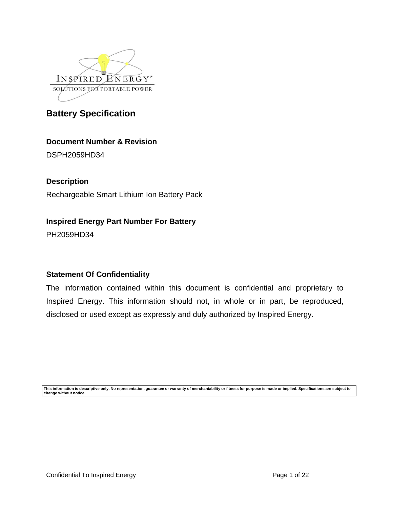

**Document Number & Revision**

DSPH2059HD34

**Description**

Rechargeable Smart Lithium Ion Battery Pack

# **Inspired Energy Part Number For Battery**

PH2059HD34

# **Statement Of Confidentiality**

The information contained within this document is confidential and proprietary to Inspired Energy. This information should not, in whole or in part, be reproduced, disclosed or used except as expressly and duly authorized by Inspired Energy.

**This information is descriptive only. No representation, guarantee or warranty of merchantability or fitness for purpose is made or implied. Specifications are subject to change without notice.**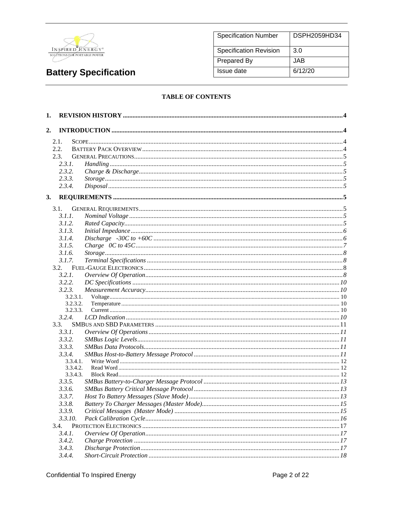

| <b>Specification Number</b>   | DSPH2059HD34 |
|-------------------------------|--------------|
| <b>Specification Revision</b> | 3.0          |
| Prepared By                   | JAB          |
| Issue date                    | 6/12/20      |

### **TABLE OF CONTENTS**

| 1. |                  |          |  |
|----|------------------|----------|--|
| 2. |                  |          |  |
|    |                  |          |  |
|    | 2.1.<br>2.2.     |          |  |
|    | 2.3.             |          |  |
|    |                  |          |  |
|    | 2.3.1.           |          |  |
|    | 2.3.2.<br>2.3.3. |          |  |
|    | 2.3.4.           |          |  |
|    |                  |          |  |
| 3. |                  |          |  |
|    | 3.1.             |          |  |
|    | 3.1.1.           |          |  |
|    | 3.1.2.           |          |  |
|    | 3.1.3.           |          |  |
|    | 3.1.4.           |          |  |
|    | 3.1.5.           |          |  |
|    | 3.1.6.           |          |  |
|    | 3.1.7.           |          |  |
|    | 3.2.             |          |  |
|    | 3.2.1.           |          |  |
|    | 3.2.2.           |          |  |
|    | 3.2.3.           |          |  |
|    |                  | 3.2.3.1. |  |
|    |                  | 3.2.3.2. |  |
|    |                  | 3.2.3.3. |  |
|    | 3.2.4.           |          |  |
|    | 3.3.             |          |  |
|    | 3.3.1.           |          |  |
|    | 3.3.2.           |          |  |
|    | 3.3.3.           |          |  |
|    | 3.3.4.           |          |  |
|    |                  | 3.3.4.1. |  |
|    |                  | 3.3.4.2. |  |
|    |                  | 3.3.4.3. |  |
|    | 3.3.5.           |          |  |
|    | 3.3.6.           |          |  |
|    | 3.3.7.           |          |  |
|    | 3.3.8.           |          |  |
|    | 3.3.9.           |          |  |
|    | 3.3.10.          |          |  |
|    | 3.4.             |          |  |
|    | 3.4.1.           |          |  |
|    | 3.4.2.           |          |  |
|    | 3.4.3.           |          |  |
|    | 3.4.4.           |          |  |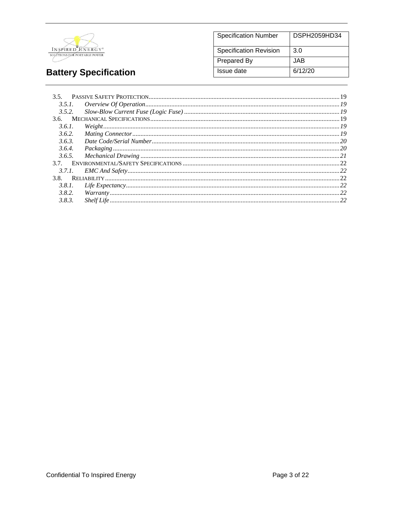

#### **DSPH2059HD34 Specification Number Specification Revision**  $3.0$ **JAB** Prepared By **Issue date**  $6/12/20$

# **Battery Specification**

| 3.5.2. |  |
|--------|--|
|        |  |
| 3.6.1. |  |
| 3.6.2. |  |
| 3.6.3. |  |
| 3.6.4. |  |
|        |  |
|        |  |
|        |  |
| 3.8.   |  |
| 3.8.1. |  |
| 3.8.2. |  |
| 3.8.3. |  |
|        |  |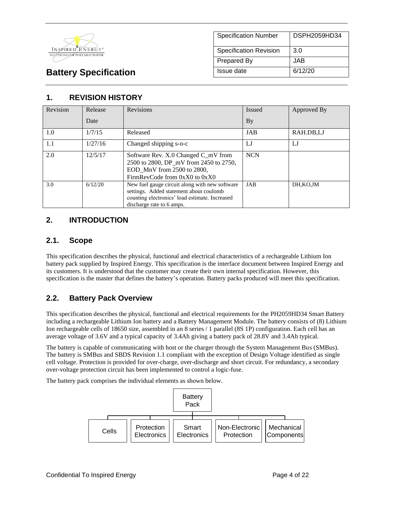

| <b>Specification Number</b>   | DSPH2059HD34 |
|-------------------------------|--------------|
| <b>Specification Revision</b> | 3.0          |
| <b>Prepared By</b>            | JAB          |
| Issue date                    | 6/12/20      |

# **1. REVISION HISTORY**

| Revision | Release | Revisions                                                                                                                                                                | Issued     | Approved By |
|----------|---------|--------------------------------------------------------------------------------------------------------------------------------------------------------------------------|------------|-------------|
|          | Date    |                                                                                                                                                                          | By         |             |
| 1.0      | 1/7/15  | Released                                                                                                                                                                 | JAB        | RAH.DB,LJ   |
| 1.1      | 1/27/16 | Changed shipping s-o-c                                                                                                                                                   | LJ         | IJ          |
| 2.0      | 12/5/17 | Software Rev. X.0 Changed C_mV from<br>2500 to 2800, DP_mV from 2450 to 2750,<br>EOD MnV from 2500 to 2800,<br>FirmRevCode from 0xX0 to 0xX0                             | <b>NCN</b> |             |
| 3.0      | 6/12/20 | New fuel gauge circuit along with new software<br>settings. Added statement about coulomb<br>counting electronics' load estimate. Increased<br>discharge rate to 6 amps. | JAB        | DH, KO, JM  |

# **2. INTRODUCTION**

## **2.1. Scope**

This specification describes the physical, functional and electrical characteristics of a rechargeable Lithium Ion battery pack supplied by Inspired Energy. This specification is the interface document between Inspired Energy and its customers. It is understood that the customer may create their own internal specification. However, this specification is the master that defines the battery's operation. Battery packs produced will meet this specification.

# **2.2. Battery Pack Overview**

This specification describes the physical, functional and electrical requirements for the PH2059HD34 Smart Battery including a rechargeable Lithium Ion battery and a Battery Management Module. The battery consists of (8) Lithium Ion rechargeable cells of 18650 size, assembled in an 8 series / 1 parallel (8S 1P) configuration. Each cell has an average voltage of 3.6V and a typical capacity of 3.4Ah giving a battery pack of 28.8V and 3.4Ah typical.

The battery is capable of communicating with host or the charger through the System Management Bus (SMBus). The battery is SMBus and SBDS Revision 1.1 compliant with the exception of Design Voltage identified as single cell voltage. Protection is provided for over-charge, over-discharge and short circuit. For redundancy, a secondary over-voltage protection circuit has been implemented to control a logic-fuse.

The battery pack comprises the individual elements as shown below.

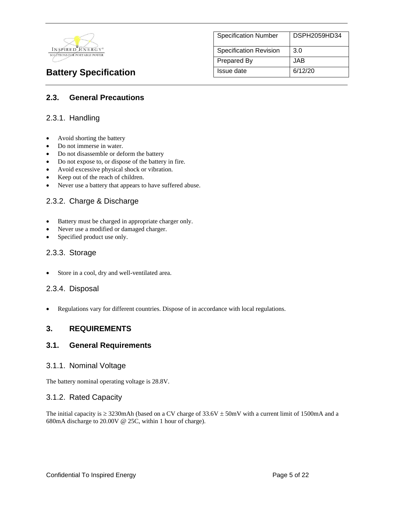

| <b>Specification Number</b>   | DSPH2059HD34 |
|-------------------------------|--------------|
| <b>Specification Revision</b> | 3.0          |
| <b>Prepared By</b>            | JAB.         |
| Issue date                    | 6/12/20      |

# **2.3. General Precautions**

### 2.3.1. Handling

- Avoid shorting the battery
- Do not immerse in water.
- Do not disassemble or deform the battery
- Do not expose to, or dispose of the battery in fire.
- Avoid excessive physical shock or vibration.
- Keep out of the reach of children.
- Never use a battery that appears to have suffered abuse.

### 2.3.2. Charge & Discharge

- Battery must be charged in appropriate charger only.
- Never use a modified or damaged charger.
- Specified product use only.

#### 2.3.3. Storage

Store in a cool, dry and well-ventilated area.

### 2.3.4. Disposal

• Regulations vary for different countries. Dispose of in accordance with local regulations.

### **3. REQUIREMENTS**

### **3.1. General Requirements**

#### 3.1.1. Nominal Voltage

The battery nominal operating voltage is 28.8V.

### 3.1.2. Rated Capacity

The initial capacity is  $\geq$  3230mAh (based on a CV charge of 33.6V  $\pm$  50mV with a current limit of 1500mA and a 680mA discharge to 20.00V @ 25C, within 1 hour of charge).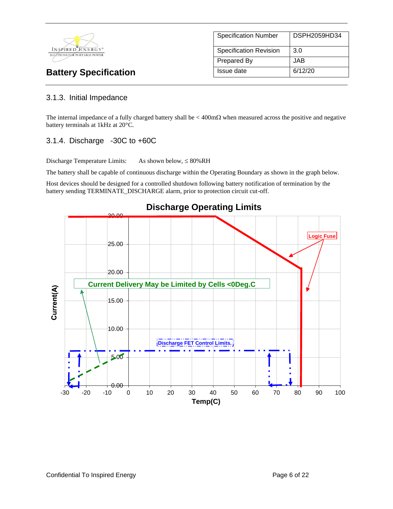

# Specification Number | DSPH2059HD34 Specification Revision 3.0 Prepared By JAB **Battery Specification Issue date** 6/12/20

# 3.1.3. Initial Impedance

The internal impedance of a fully charged battery shall be  $\lt$  400m $\Omega$  when measured across the positive and negative battery terminals at 1kHz at 20°C.

# 3.1.4. Discharge -30C to +60C

Discharge Temperature Limits: As shown below,  $\leq 80\%RH$ 

The battery shall be capable of continuous discharge within the Operating Boundary as shown in the graph below.

Host devices should be designed for a controlled shutdown following battery notification of termination by the battery sending TERMINATE\_DISCHARGE alarm, prior to protection circuit cut-off.



### **Discharge Operating Limits**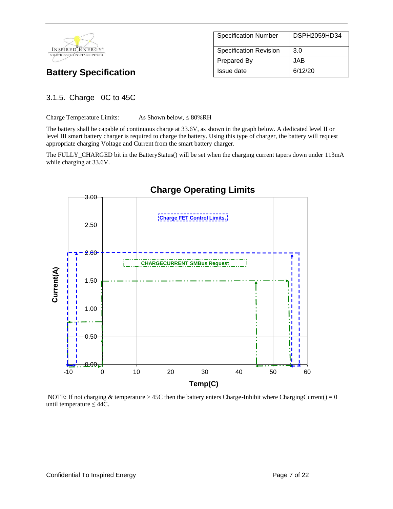

| <b>Specification Number</b>   | DSPH2059HD34 |
|-------------------------------|--------------|
|                               |              |
| <b>Specification Revision</b> | 3.0          |
|                               |              |
| <b>Prepared By</b>            | JAB.         |
|                               |              |
| Issue date                    | 6/12/20      |
|                               |              |

# 3.1.5. Charge 0C to 45C

Charge Temperature Limits: As Shown below,  $\leq 80\%RH$ 

The battery shall be capable of continuous charge at 33.6V, as shown in the graph below. A dedicated level II or level III smart battery charger is required to charge the battery. Using this type of charger, the battery will request appropriate charging Voltage and Current from the smart battery charger.

The FULLY\_CHARGED bit in the BatteryStatus() will be set when the charging current tapers down under 113mA while charging at 33.6V.



NOTE: If not charging  $\&$  temperature > 45C then the battery enters Charge-Inhibit where ChargingCurrent() = 0 until temperature  $\leq 44C$ .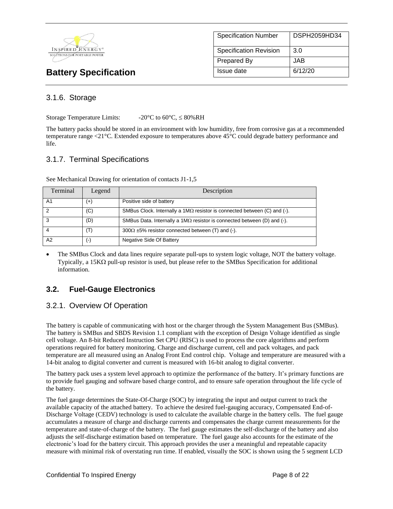

| <b>Specification Number</b> | DSPH2059HD34 |
|-----------------------------|--------------|
| Specification Revision      | 3.0          |
| Prepared By                 | JAB.         |
| Issue date                  | 6/12/20      |

### 3.1.6. Storage

Storage Temperature Limits:  $-20^{\circ}$ C to  $60^{\circ}$ C,  $\leq 80\%$ RH

The battery packs should be stored in an environment with low humidity, free from corrosive gas at a recommended temperature range <21°C. Extended exposure to temperatures above 45°C could degrade battery performance and life.

### 3.1.7. Terminal Specifications

| Terminal       | Legend         | Description                                                                     |
|----------------|----------------|---------------------------------------------------------------------------------|
| A <sub>1</sub> | $^{(+)}$       | Positive side of battery                                                        |
| າ              | (C)            | SMBus Clock. Internally a $1M\Omega$ resistor is connected between (C) and (-). |
| 3              | (D)            | SMBus Data. Internally a 1M $\Omega$ resistor is connected between (D) and (-). |
|                | $(\mathsf{T})$ | $300\Omega \pm 5\%$ resistor connected between (T) and (-).                     |
| A2             | (-)            | Negative Side Of Battery                                                        |

See Mechanical Drawing for orientation of contacts J1-1,5

• The SMBus Clock and data lines require separate pull-ups to system logic voltage, NOT the battery voltage. Typically, a 15K $\Omega$  pull-up resistor is used, but please refer to the SMBus Specification for additional information.

# **3.2. Fuel-Gauge Electronics**

### 3.2.1. Overview Of Operation

The battery is capable of communicating with host or the charger through the System Management Bus (SMBus). The battery is SMBus and SBDS Revision 1.1 compliant with the exception of Design Voltage identified as single cell voltage. An 8-bit Reduced Instruction Set CPU (RISC) is used to process the core algorithms and perform operations required for battery monitoring. Charge and discharge current, cell and pack voltages, and pack temperature are all measured using an Analog Front End control chip. Voltage and temperature are measured with a 14-bit analog to digital converter and current is measured with 16-bit analog to digital converter.

The battery pack uses a system level approach to optimize the performance of the battery. It's primary functions are to provide fuel gauging and software based charge control, and to ensure safe operation throughout the life cycle of the battery.

The fuel gauge determines the State-Of-Charge (SOC) by integrating the input and output current to track the available capacity of the attached battery. To achieve the desired fuel-gauging accuracy, Compensated End-of-Discharge Voltage (CEDV) technology is used to calculate the available charge in the battery cells. The fuel gauge accumulates a measure of charge and discharge currents and compensates the charge current measurements for the temperature and state-of-charge of the battery. The fuel gauge estimates the self-discharge of the battery and also adjusts the self-discharge estimation based on temperature. The fuel gauge also accounts for the estimate of the electronic's load for the battery circuit. This approach provides the user a meaningful and repeatable capacity measure with minimal risk of overstating run time. If enabled, visually the SOC is shown using the 5 segment LCD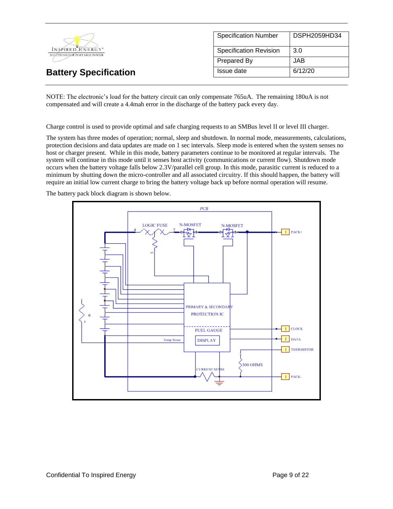

NOTE: The electronic's load for the battery circuit can only compensate 765uA. The remaining 180uA is not compensated and will create a 4.4mah error in the discharge of the battery pack every day.

Charge control is used to provide optimal and safe charging requests to an SMBus level II or level III charger.

The system has three modes of operation; normal, sleep and shutdown. In normal mode, measurements, calculations, protection decisions and data updates are made on 1 sec intervals. Sleep mode is entered when the system senses no host or charger present. While in this mode, battery parameters continue to be monitored at regular intervals. The system will continue in this mode until it senses host activity (communications or current flow). Shutdown mode occurs when the battery voltage falls below 2.3V/parallel cell group. In this mode, parasitic current is reduced to a minimum by shutting down the micro-controller and all associated circuitry. If this should happen, the battery will require an initial low current charge to bring the battery voltage back up before normal operation will resume.

The battery pack block diagram is shown below.

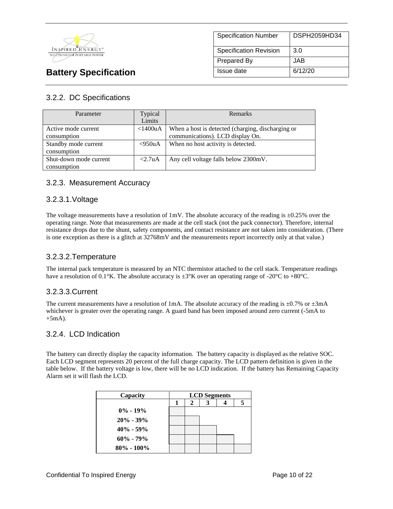

# Specification Number | DSPH2059HD34 Specification Revision 3.0 Prepared By JAB **Battery Specification Issue date 16/12/20**

# 3.2.2. DC Specifications

| Parameter              | Typical    | Remarks                                           |
|------------------------|------------|---------------------------------------------------|
|                        | Limits     |                                                   |
| Active mode current    | $<$ 1400uA | When a host is detected (charging, discharging or |
| consumption            |            | communications). LCD display On.                  |
| Standby mode current   | $<950$ uA  | When no host activity is detected.                |
| consumption            |            |                                                   |
| Shut-down mode current | <2.7uA     | Any cell voltage falls below 2300mV.              |
| consumption            |            |                                                   |

## 3.2.3. Measurement Accuracy

### 3.2.3.1.Voltage

The voltage measurements have a resolution of  $1 \text{mV}$ . The absolute accuracy of the reading is  $\pm 0.25\%$  over the operating range. Note that measurements are made at the cell stack (not the pack connector). Therefore, internal resistance drops due to the shunt, safety components, and contact resistance are not taken into consideration. (There is one exception as there is a glitch at 32768mV and the measurements report incorrectly only at that value.)

### 3.2.3.2.Temperature

The internal pack temperature is measured by an NTC thermistor attached to the cell stack. Temperature readings have a resolution of 0.1°K. The absolute accuracy is  $\pm 3$ °K over an operating range of -20°C to +80°C.

### 3.2.3.3.Current

The current measurements have a resolution of 1mA. The absolute accuracy of the reading is  $\pm 0.7\%$  or  $\pm 3$ mA whichever is greater over the operating range. A guard band has been imposed around zero current (-5mA to  $+5mA$ ).

### 3.2.4. LCD Indication

The battery can directly display the capacity information. The battery capacity is displayed as the relative SOC. Each LCD segment represents 20 percent of the full charge capacity. The LCD pattern definition is given in the table below. If the battery voltage is low, there will be no LCD indication. If the battery has Remaining Capacity Alarm set it will flash the LCD.

| Capacity       | <b>LCD</b> Segments |   |  |   |
|----------------|---------------------|---|--|---|
|                |                     | 2 |  | 5 |
| $0\% - 19\%$   |                     |   |  |   |
| $20\% - 39\%$  |                     |   |  |   |
| $40\% - 59\%$  |                     |   |  |   |
| $60\% - 79\%$  |                     |   |  |   |
| $80\% - 100\%$ |                     |   |  |   |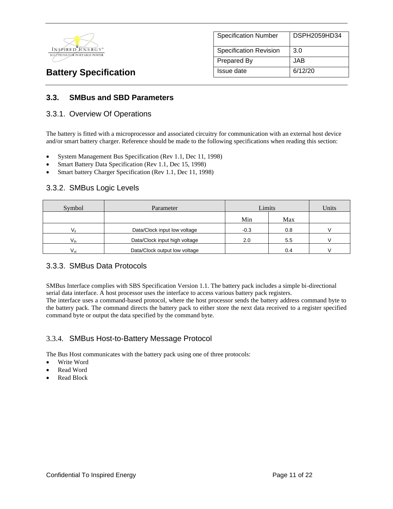

| <b>Specification Number</b>   | DSPH2059HD34 |
|-------------------------------|--------------|
| <b>Specification Revision</b> | 3.0          |
| Prepared By                   | JAB          |
| Issue date                    | 6/12/20      |

### **3.3. SMBus and SBD Parameters**

### 3.3.1. Overview Of Operations

The battery is fitted with a microprocessor and associated circuitry for communication with an external host device and/or smart battery charger. Reference should be made to the following specifications when reading this section:

- System Management Bus Specification (Rev 1.1, Dec 11, 1998)
- Smart Battery Data Specification (Rev 1.1, Dec 15, 1998)
- Smart battery Charger Specification (Rev 1.1, Dec 11, 1998)

### 3.3.2. SMBus Logic Levels

| Symbol                                    | Parameter                     |        | Limits |  |
|-------------------------------------------|-------------------------------|--------|--------|--|
|                                           |                               | Min    | Max    |  |
|                                           | Data/Clock input low voltage  | $-0.3$ | 0.8    |  |
| Data/Clock input high voltage<br>$V_{ih}$ |                               | 2.0    | 5.5    |  |
| $V_{ol}$                                  | Data/Clock output low voltage |        | 0.4    |  |

### 3.3.3. SMBus Data Protocols

SMBus Interface complies with SBS Specification Version 1.1. The battery pack includes a simple bi-directional serial data interface. A host processor uses the interface to access various battery pack registers.

The interface uses a command-based protocol, where the host processor sends the battery address command byte to the battery pack. The command directs the battery pack to either store the next data received to a register specified command byte or output the data specified by the command byte.

### 3.3.4. SMBus Host-to-Battery Message Protocol

The Bus Host communicates with the battery pack using one of three protocols:

- Write Word
- Read Word
- Read Block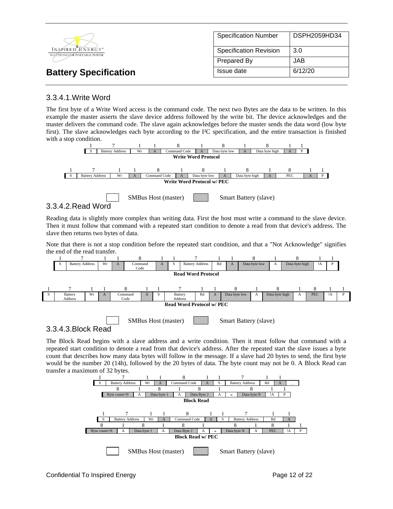|                                                  | <b>Specification Number</b>   | DSPH2059HD34 |
|--------------------------------------------------|-------------------------------|--------------|
| INSPIRED ENERGY*<br>SOLUTIONS FOR PORTABLE POWER | <b>Specification Revision</b> | 3.0          |
|                                                  | Prepared By                   | <b>JAB</b>   |
| <b>Battery Specification</b>                     | Issue date                    | 6/12/20      |

### 3.3.4.1.Write Word

The first byte of a Write Word access is the command code. The next two Bytes are the data to be written. In this example the master asserts the slave device address followed by the write bit. The device acknowledges and the master delivers the command code. The slave again acknowledges before the master sends the data word (low byte first). The slave acknowledges each byte according to the I²C specification, and the entire transaction is finished with a stop condition.



### 3.3.4.2.Read Word

3.3.4.3.Block Read

Reading data is slightly more complex than writing data. First the host must write a command to the slave device. Then it must follow that command with a repeated start condition to denote a read from that device's address. The slave then returns two bytes of data.

Note that there is not a stop condition before the repeated start condition, and that a "Not Acknowledge" signifies the end of the read transfer.



The Block Read begins with a slave address and a write condition. Then it must follow that command with a repeated start condition to denote a read from that device's address. After the repeated start the slave issues a byte count that describes how many data bytes will follow in the message. If a slave had 20 bytes to send, the first byte would be the number 20 (14h), followed by the 20 bytes of data. The byte count may not be 0. A Block Read can transfer a maximum of 32 bytes.

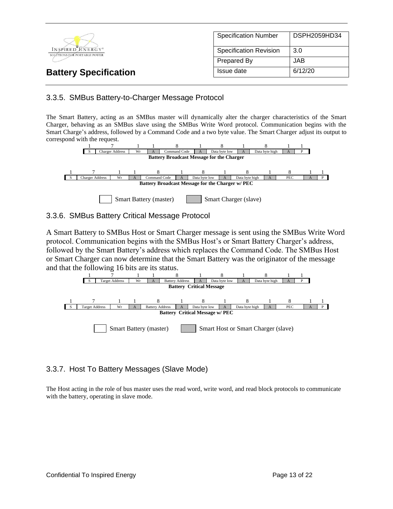

## 3.3.5. SMBus Battery-to-Charger Message Protocol

The Smart Battery, acting as an SMBus master will dynamically alter the charger characteristics of the Smart Charger, behaving as an SMBus slave using the SMBus Write Word protocol. Communication begins with the Smart Charge's address, followed by a Command Code and a two byte value. The Smart Charger adjust its output to correspond with the request.



### 3.3.6. SMBus Battery Critical Message Protocol

A Smart Battery to SMBus Host or Smart Charger message is sent using the SMBus Write Word protocol. Communication begins with the SMBus Host's or Smart Battery Charger's address, followed by the Smart Battery's address which replaces the Command Code. The SMBus Host or Smart Charger can now determine that the Smart Battery was the originator of the message and that the following 16 bits are its status.



# 3.3.7. Host To Battery Messages (Slave Mode)

The Host acting in the role of bus master uses the read word, write word, and read block protocols to communicate with the battery, operating in slave mode.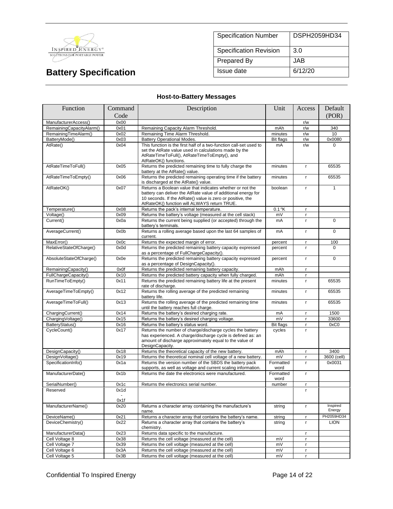

| <b>Specification Number</b>   | DSPH2059HD34 |  |
|-------------------------------|--------------|--|
| <b>Specification Revision</b> | 3.0          |  |
| <b>Prepared By</b>            | JAB.         |  |
| Issue date                    | 6/12/20      |  |

## **Host-to-Battery Messages**

| Function                 | Command                        | Description                                                                                                                                                                                                                              | Unit              | Access       | Default            |
|--------------------------|--------------------------------|------------------------------------------------------------------------------------------------------------------------------------------------------------------------------------------------------------------------------------------|-------------------|--------------|--------------------|
|                          | Code                           |                                                                                                                                                                                                                                          |                   |              | (POR)              |
| ManufacturerAccess()     | 0x00                           |                                                                                                                                                                                                                                          |                   | r/w          |                    |
| RemainingCapacityAlarm() | 0x01                           | Remaining Capacity Alarm Threshold.                                                                                                                                                                                                      | mAh               | r/w          | 340                |
| RemainingTimeAlarm()     | 0x02                           | Remaining Time Alarm Threshold.                                                                                                                                                                                                          | minutes           | r/w          | 10                 |
| BatteryMode()            | 0x03                           | <b>Battery Operational Modes.</b>                                                                                                                                                                                                        | <b>Bit flags</b>  | r/w          | 0x0080             |
| AtRate()                 | 0x04                           | This function is the first half of a two-function call-set used to<br>set the AtRate value used in calculations made by the<br>AtRateTimeToFull(), AtRateTimeToEmpty(), and<br>AtRateOK() functions.                                     | mA                | r/w          | $\Omega$           |
| AtRateTimeToFull()       | 0x05                           | Returns the predicted remaining time to fully charge the<br>battery at the AtRate() value.                                                                                                                                               | minutes           | $\mathbf{r}$ | 65535              |
| AtRateTimeToEmpty()      | 0x06                           | Returns the predicted remaining operating time if the battery<br>is discharged at the AtRate() value.                                                                                                                                    | minutes           | $\mathsf{r}$ | 65535              |
| AtRateOK()               | 0x07                           | Returns a Boolean value that indicates whether or not the<br>battery can deliver the AtRate value of additional energy for<br>10 seconds. If the AtRate() value is zero or positive, the<br>AtRateOK() function will ALWAYS return TRUE. | boolean           | r            | $\mathbf{1}$       |
| Temperature()            | 0x08                           | Returns the pack's internal temperature.                                                                                                                                                                                                 | $0.1$ °K          | $\mathbf{r}$ |                    |
| Voltage()                | 0x09                           | Returns the battery's voltage (measured at the cell stack)                                                                                                                                                                               | mV                | $\mathbf{r}$ |                    |
| Current()                | 0x0a                           | Returns the current being supplied (or accepted) through the<br>battery's terminals.                                                                                                                                                     | mA                | $\mathbf{r}$ | $\mathbf 0$        |
| AverageCurrent()         | 0x0b                           | Returns a rolling average based upon the last 64 samples of<br>current.                                                                                                                                                                  | mA                | $\mathsf{r}$ | $\mathbf 0$        |
| MaxError()               | 0x0c                           | Returns the expected margin of error.                                                                                                                                                                                                    | percent           | r.           | 100                |
| RelativeStateOfCharge()  | 0x0d                           | Returns the predicted remaining battery capacity expressed<br>as a percentage of FullChargeCapacity().                                                                                                                                   | percent           | r.           | $\Omega$           |
| AbsoluteStateOfCharge()  | 0x0e                           | Returns the predicted remaining battery capacity expressed<br>as a percentage of DesignCapacity().                                                                                                                                       | percent           | $\mathbf{r}$ | $\Omega$           |
| RemainingCapacity()      | 0x0f                           | Returns the predicted remaining battery capacity.                                                                                                                                                                                        | mAh               | r.           |                    |
| FullChargeCapacity()     | 0x10                           | Returns the predicted battery capacity when fully charged.                                                                                                                                                                               | mAh               | $\mathbf{r}$ |                    |
| RunTimeToEmpty()         | 0x11                           | Returns the predicted remaining battery life at the present<br>rate of discharge.                                                                                                                                                        | minutes           | $\mathbf{r}$ | 65535              |
| AverageTimeToEmpty()     | 0x12                           | Returns the rolling average of the predicted remaining<br>battery life.                                                                                                                                                                  | minutes           | $\mathbf{r}$ | 65535              |
| AverageTimeToFull()      | 0x13                           | Returns the rolling average of the predicted remaining time<br>until the battery reaches full charge.                                                                                                                                    | minutes           | $\mathbf{r}$ | 65535              |
| ChargingCurrent()        | 0x14                           | Returns the battery's desired charging rate.                                                                                                                                                                                             | mA                | $\mathbf{r}$ | 1500               |
| ChargingVoltage()        | 0x15                           | Returns the battery's desired charging voltage.                                                                                                                                                                                          | mV                | $\mathbf{r}$ | 33600              |
| BatteryStatus()          | 0x16                           | Returns the battery's status word.                                                                                                                                                                                                       | <b>Bit flags</b>  | $\mathsf{r}$ | 0xC0               |
| CycleCount()             | 0x17                           | Returns the number of charge/discharge cycles the battery<br>has experienced. A charge/discharge cycle is defined as: an<br>amount of discharge approximately equal to the value of<br>DesignCapacity.                                   | cycles            | $\mathsf{r}$ |                    |
| DesignCapacity()         | 0x18                           | Returns the theoretical capacity of the new battery.                                                                                                                                                                                     | mAh               | $\mathbf{r}$ | 3400               |
| DesignVoltage()          | 0x19                           | Returns the theoretical nominal cell voltage of a new battery.                                                                                                                                                                           | mV                | $\mathbf{r}$ | 3600 (cell)        |
| SpecificationInfo()      | 0x1a                           | Returns the version number of the SBDS the battery pack<br>supports, as well as voltage and current scaling information.                                                                                                                 | Formatted<br>word | r.           | 0x0031             |
| ManufacturerDate()       | 0x1b                           | Returns the date the electronics were manufactured.                                                                                                                                                                                      | Formatted<br>word | $\mathbf{r}$ |                    |
| SerialNumber()           | 0x1c                           | Returns the electronics serial number.                                                                                                                                                                                                   | number            | $\mathbf{r}$ |                    |
| Reserved                 | 0x1d<br>$\blacksquare$<br>0x1f |                                                                                                                                                                                                                                          |                   | r            |                    |
| ManufacturerName()       | 0x20                           | Returns a character array containing the manufacture's<br>name.                                                                                                                                                                          | string            | $\mathbf{r}$ | Inspired<br>Energy |
| DeviceName()             | 0x21                           | Returns a character array that contains the battery's name.                                                                                                                                                                              | string            | r            | PH2059HD34         |
| DeviceChemistry()        | 0x22                           | Returns a character array that contains the battery's<br>chemistry.                                                                                                                                                                      | string            | r            | <b>LION</b>        |
| ManufacturerData()       | 0x23                           | Returns data specific to the manufacture.                                                                                                                                                                                                |                   | r.           |                    |
| Cell Voltage 8           | 0x38                           | Returns the cell voltage (measured at the cell)                                                                                                                                                                                          | mV                | r.           |                    |
| Cell Voltage 7           | 0x39                           | Returns the cell voltage (measured at the cell)                                                                                                                                                                                          | mV                | $\mathsf{r}$ |                    |
| Cell Voltage 6           | 0x3A                           | Returns the cell voltage (measured at the cell)                                                                                                                                                                                          | mV                | r.           |                    |
| Cell Voltage 5           | 0x3B                           | Returns the cell voltage (measured at the cell)                                                                                                                                                                                          | mV                | $\mathbf{r}$ |                    |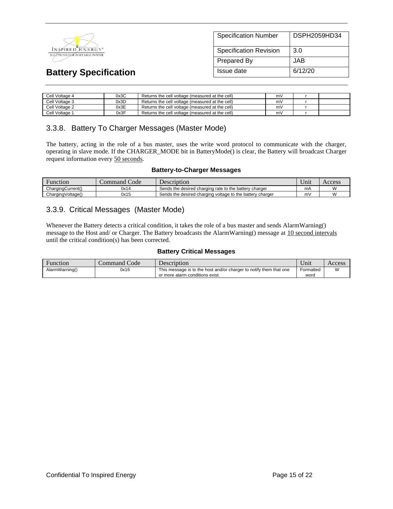

| <b>Specification Number</b>   | DSPH2059HD34 |
|-------------------------------|--------------|
| <b>Specification Revision</b> | 3.0          |
| Prepared By                   | JAB          |
| Issue date                    | 6/12/20      |

| Cell Voltage 4 | 0x3C | Returns the cell voltage (measured at the cell) | mV |  |
|----------------|------|-------------------------------------------------|----|--|
| Cell Voltage 3 | 0x3D | Returns the cell voltage (measured at the cell) | mV |  |
| Cell Voltage 2 | 0x3E | Returns the cell voltage (measured at the cell) | mV |  |
| Cell Voltage 1 | 0x3F | Returns the cell voltage (measured at the cell) | m٧ |  |

### 3.3.8. Battery To Charger Messages (Master Mode)

The battery, acting in the role of a bus master, uses the write word protocol to communicate with the charger, operating in slave mode. If the CHARGER\_MODE bit in BatteryMode() is clear, the Battery will broadcast Charger request information every 50 seconds.

#### **Battery-to-Charger Messages**

| Hunction          | Code<br>command ' | Description                                               | $\mathbf{v}$<br>∪nıt | Access    |
|-------------------|-------------------|-----------------------------------------------------------|----------------------|-----------|
| ChargingCurrent() | 0x14              | Sends the desired charging rate to the battery charger    | mA                   | $\lambda$ |
| ChargingVoltage() | 0x15              | Sends the desired charging voltage to the battery charger | m                    | ۱۸        |

### 3.3.9. Critical Messages (Master Mode)

Whenever the Battery detects a critical condition, it takes the role of a bus master and sends AlarmWarning() message to the Host and/ or Charger. The Battery broadcasts the AlarmWarning() message at 10 second intervals until the critical condition(s) has been corrected.

#### **Battery Critical Messages**

| Function       | Code<br>Command <i>!</i> | Description                                                        | <b>TT</b><br>∪nıt | Access |
|----------------|--------------------------|--------------------------------------------------------------------|-------------------|--------|
| AlarmWarning() | 0x16                     | This message is to the host and/or charger to notify them that one | Formatted         | M      |
|                |                          | or more alarm conditions exist.                                    | word              |        |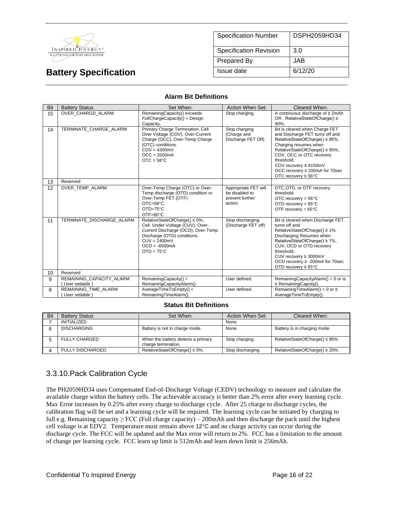

| <b>Specification Number</b>   | DSPH2059HD34 |
|-------------------------------|--------------|
| <b>Specification Revision</b> | 3.0          |
| Prepared By                   | JAB.         |
| Issue date                    | 6/12/20      |

#### **Alarm Bit Definitions**

| Bit | <b>Battery Status</b>                       | Set When:                                                                                                                                                                                         | Action When Set:                                                     | Cleared When:                                                                                                                                                                                                                                                                                           |
|-----|---------------------------------------------|---------------------------------------------------------------------------------------------------------------------------------------------------------------------------------------------------|----------------------------------------------------------------------|---------------------------------------------------------------------------------------------------------------------------------------------------------------------------------------------------------------------------------------------------------------------------------------------------------|
| 15  | OVER CHARGD ALARM                           | RemainingCapacity() exceeds<br>FullChargeCapacity() + Design<br>Capacity.                                                                                                                         | Stop charging.                                                       | A continuous discharge of ≥ 2mAh<br>OR. RelativeStateOfCharge() ≤<br>$90%$ .                                                                                                                                                                                                                            |
| 14  | TERMINATE CHARGE ALARM                      | Primary Charge Termination, Cell<br>Over Voltage (COV), Over-Current<br>Charge (OCC), Over-Temp Charge<br>(OTC) conditions.<br>$COV = 4300mV$<br>$OCC = 2000mA$<br>$OTC = 58°C$                   | Stop charging.<br>(Charge and<br>Discharge FET Off)                  | Bit is cleared when Charge FET<br>and Discharge FET turns off and<br>RelativeStateOfCharge() ≤ 95%.<br>Charging resumes when<br>RelativeStateOfCharge() ≤ 95%,<br>COV, OCC or OTC recovery<br>threshold.<br>COV recovery ≤ 4150mV<br>OCC recovery ≤ 200mA for 70sec<br>OTC recovery $\leq 56^{\circ}$ C |
| 13  | Reserved                                    |                                                                                                                                                                                                   |                                                                      |                                                                                                                                                                                                                                                                                                         |
| 12  | OVER TEMP ALARM                             | Over-Temp Charge (OTC) or Over-<br>Temp discharge (OTD) condition or<br>Over-Temp FET (OTF)<br>$OTC = 58°C$<br>$OTD=75^{\circ}C$<br>OTF=80 $\degree$ C                                            | Appropriate FET will<br>be disabled to<br>prevent further<br>action. | OTC, OTD, or OTF recovery<br>threshold.<br>OTC recovery = $56^{\circ}$ C<br>OTD recovery = $65^{\circ}$ C<br>OTF recovery = $65^{\circ}$ C                                                                                                                                                              |
| 11  | TERMINATE DISCHARGE ALARM                   | RelativeStateOfCharge() ≤ 0%,<br>Cell Under-Voltage (CUV), Over-<br>Current Discharge (OCD), Over-Temp<br>Discharge (OTD) conditions.<br>$CUV = 2400mV$<br>$OCD = -6500mA$<br>$OTD = 75^{\circ}C$ | Stop discharging.<br>(Discharge FET off)                             | Bit is cleared when Discharge FET<br>turns off and<br>RelativeStateOfCharge() ≥ 1%.<br>Discharging Resumes when<br>RelativeStateOfCharge() ≥ 1%,<br>CUV, OCD or OTD recovery<br>threshold.<br>CUV recovery ≥ 3000mV<br>OCD recovery ≥ -200mA for 70sec<br>OTD recovery $\leq 65^{\circ}$ C              |
| 10  | Reserved                                    |                                                                                                                                                                                                   |                                                                      |                                                                                                                                                                                                                                                                                                         |
| 9   | REMAINING CAPACITY ALARM<br>User settable ) | RemainingCapacity() <<br>RemainingCapacityAlarm().                                                                                                                                                | User defined.                                                        | RemainingCapacityAlarm() = $0$ or is<br>$\leq$ Remaining Capcity().                                                                                                                                                                                                                                     |
| 8   | REMAINING TIME ALARM<br>User settable       | AverageTimeToEmpty() <<br>RemainingTimeAlarm().                                                                                                                                                   | User defined.                                                        | RemainingTimeAlarm() = 0 or $\leq$<br>AverageTimeToEmpty().                                                                                                                                                                                                                                             |

#### **Status Bit Definitions**

| Bit | <b>Battery Status</b>   | Set When:                                                 | Action When Set:  | Cleared When:                       |
|-----|-------------------------|-----------------------------------------------------------|-------------------|-------------------------------------|
|     | INITIALIZED             |                                                           | None.             |                                     |
|     | <b>DISCHARGING</b>      | Battery is not in charge mode.                            | None.             | Battery is in charging mode.        |
|     | <b>FULLY CHARGED</b>    | When the battery detects a primary<br>charge termination. | Stop charging.    | RelativeStateOfCharge() $\leq$ 95%. |
|     | <b>FULLY DISCHARGED</b> | RelativeStateOfCharge() $\leq 0\%$ .                      | Stop discharging. | RelativeStateOfCharge() $\geq$ 20%. |

### 3.3.10.Pack Calibration Cycle

The PH2059HD34 uses Compensated End-of-Discharge Voltage (CEDV) technology to measure and calculate the available charge within the battery cells. The achievable accuracy is better than 2% error after every learning cycle. Max Error increases by 0.25% after every charge to discharge cycle. After 25 charge to discharge cycles, the calibration flag will be set and a learning cycle will be required. The learning cycle can be initiated by charging to full e.g. Remaining capacity  $\geq$  FCC (Full charge capacity) – 200mAh and then discharge the pack until the highest cell voltage is at EDV2. Temperature must remain above  $12^{\circ}$ C and no charge activity can occur during the discharge cycle. The FCC will be updated and the Max error will return to 2%. FCC has a limitation to the amount of change per learning cycle. FCC learn up limit is 512mAh and learn down limit is 256mAh.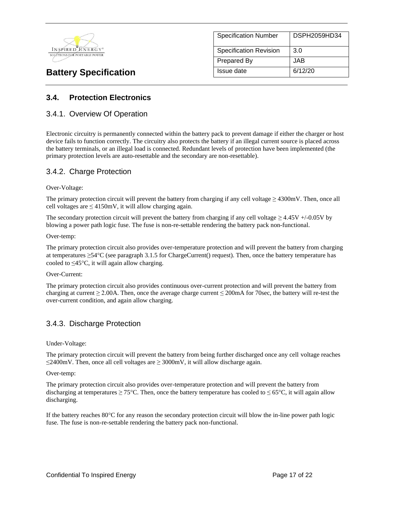

| <b>Specification Number</b>   | DSPH2059HD34 |
|-------------------------------|--------------|
| <b>Specification Revision</b> | 3.0          |
| <b>Prepared By</b>            | JAB.         |
| Issue date                    | 6/12/20      |

## **3.4. Protection Electronics**

### 3.4.1. Overview Of Operation

Electronic circuitry is permanently connected within the battery pack to prevent damage if either the charger or host device fails to function correctly. The circuitry also protects the battery if an illegal current source is placed across the battery terminals, or an illegal load is connected. Redundant levels of protection have been implemented (the primary protection levels are auto-resettable and the secondary are non-resettable).

### 3.4.2. Charge Protection

#### Over-Voltage:

The primary protection circuit will prevent the battery from charging if any cell voltage  $\geq$  4300mV. Then, once all cell voltages are  $\leq 4150$ mV, it will allow charging again.

The secondary protection circuit will prevent the battery from charging if any cell voltage  $\geq 4.45V + (-0.05V)$  by blowing a power path logic fuse. The fuse is non-re-settable rendering the battery pack non-functional.

#### Over-temp:

The primary protection circuit also provides over-temperature protection and will prevent the battery from charging at temperatures  $\geq$ 54°C (see paragraph 3.1.5 for ChargeCurrent() request). Then, once the battery temperature has cooled to  $\leq 45^{\circ}$ C, it will again allow charging.

#### Over-Current:

The primary protection circuit also provides continuous over-current protection and will prevent the battery from charging at current  $\geq$  2.00A. Then, once the average charge current  $\leq$  200mA for 70sec, the battery will re-test the over-current condition, and again allow charging.

### 3.4.3. Discharge Protection

#### Under-Voltage:

The primary protection circuit will prevent the battery from being further discharged once any cell voltage reaches  $\leq$ 2400mV. Then, once all cell voltages are  $\geq$  3000mV, it will allow discharge again.

#### Over-temp:

The primary protection circuit also provides over-temperature protection and will prevent the battery from discharging at temperatures  $\geq 75^{\circ}$ C. Then, once the battery temperature has cooled to  $\leq 65^{\circ}$ C, it will again allow discharging.

If the battery reaches  $80^{\circ}$ C for any reason the secondary protection circuit will blow the in-line power path logic fuse. The fuse is non-re-settable rendering the battery pack non-functional.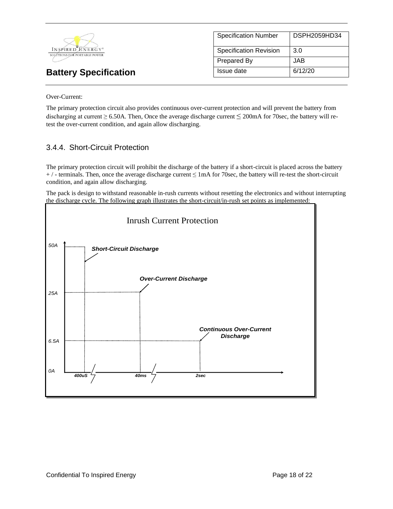

| <b>Specification Number</b> | DSPH2059HD34 |
|-----------------------------|--------------|
| Specification Revision      | 3.0          |
| <b>Prepared By</b>          | JAB.         |
| Issue date                  | 6/12/20      |

Over-Current:

The primary protection circuit also provides continuous over-current protection and will prevent the battery from discharging at current  $\geq 6.50$ A. Then, Once the average discharge current  $\leq 200$ mA for 70sec, the battery will retest the over-current condition, and again allow discharging.

## 3.4.4. Short-Circuit Protection

The primary protection circuit will prohibit the discharge of the battery if a short-circuit is placed across the battery  $+$  / - terminals. Then, once the average discharge current  $\leq$  1mA for 70sec, the battery will re-test the short-circuit condition, and again allow discharging.

The pack is design to withstand reasonable in-rush currents without resetting the electronics and without interrupting the discharge cycle. The following graph illustrates the short-circuit/in-rush set points as implemented:

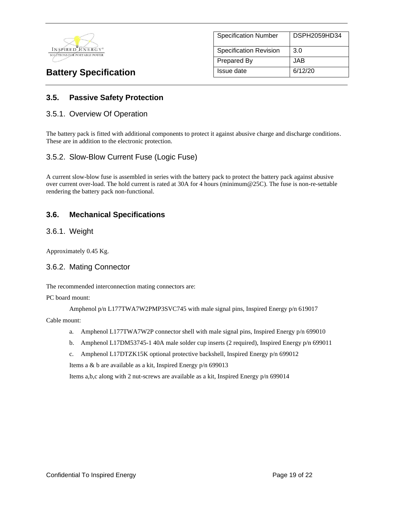

| <b>Specification Number</b>   | DSPH2059HD34 |
|-------------------------------|--------------|
| <b>Specification Revision</b> | 3.0          |
| <b>Prepared By</b>            | JAB          |
| Issue date                    | 6/12/20      |

## **3.5. Passive Safety Protection**

### 3.5.1. Overview Of Operation

The battery pack is fitted with additional components to protect it against abusive charge and discharge conditions. These are in addition to the electronic protection.

### 3.5.2. Slow-Blow Current Fuse (Logic Fuse)

A current slow-blow fuse is assembled in series with the battery pack to protect the battery pack against abusive over current over-load. The hold current is rated at 30A for 4 hours (minimum@25C). The fuse is non-re-settable rendering the battery pack non-functional.

### **3.6. Mechanical Specifications**

### 3.6.1. Weight

Approximately 0.45 Kg.

### 3.6.2. Mating Connector

The recommended interconnection mating connectors are:

PC board mount:

Amphenol p/n L177TWA7W2PMP3SVC745 with male signal pins, Inspired Energy p/n 619017

Cable mount:

- a. Amphenol L177TWA7W2P connector shell with male signal pins, Inspired Energy p/n 699010
- b. Amphenol L17DM53745-1 40A male solder cup inserts (2 required), Inspired Energy p/n 699011
- c. Amphenol L17DTZK15K optional protective backshell, Inspired Energy p/n 699012

Items a & b are available as a kit, Inspired Energy p/n 699013

Items a,b,c along with 2 nut-screws are available as a kit, Inspired Energy p/n 699014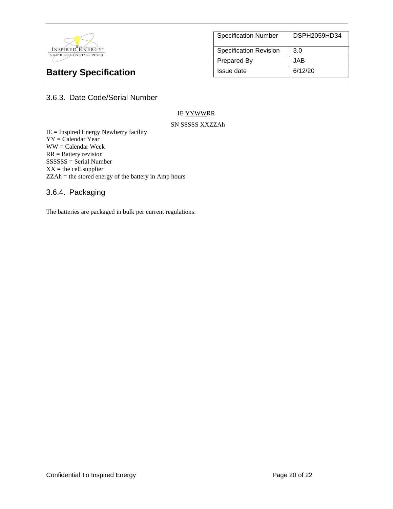

| <b>Specification Number</b>   | DSPH2059HD34 |
|-------------------------------|--------------|
| <b>Specification Revision</b> | 3.0          |
| Prepared By                   | JAB.         |
| Issue date                    | 6/12/20      |

3.6.3. Date Code/Serial Number

#### IE YYWWRR

#### SN SSSSS XXZZAh

IE = Inspired Energy Newberry facility YY = Calendar Year WW = Calendar Week RR = Battery revision SSSSSS = Serial Number  $XX =$  the cell supplier ZZAh = the stored energy of the battery in Amp hours

### 3.6.4. Packaging

The batteries are packaged in bulk per current regulations.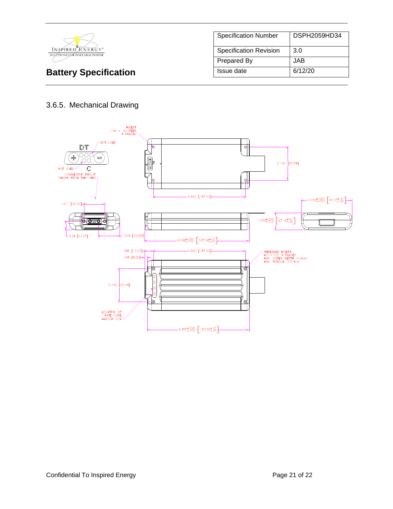

| <b>Specification Number</b>   | DSPH2059HD34 |
|-------------------------------|--------------|
| <b>Specification Revision</b> | 3.0          |
| Prepared By                   | JAB.         |
| Issue date                    | 6/12/20      |

# 3.6.5. Mechanical Drawing